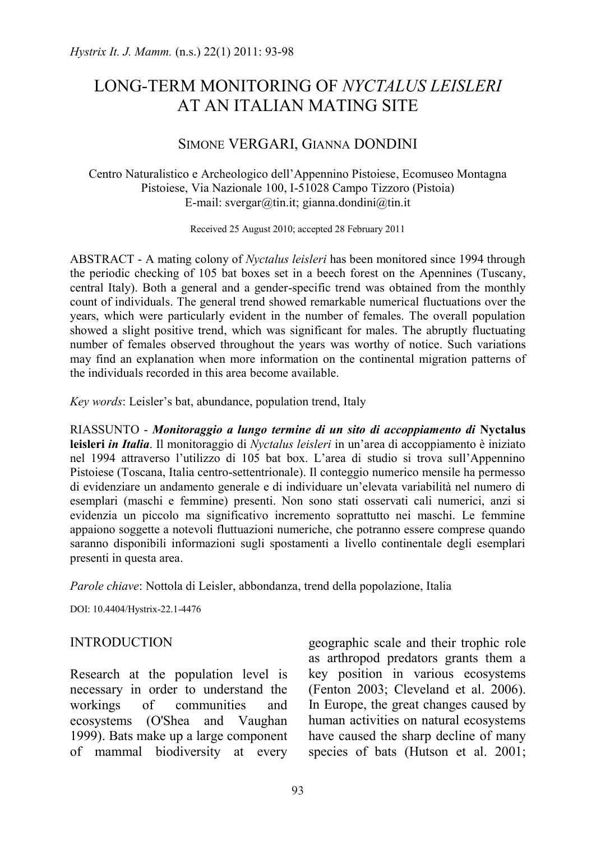# LONG-TERM MONITORING OF *NYCTALUS LEISLERI* AT AN ITALIAN MATING SITE

# SIMONE VERGARI, GIANNA DONDINI

Centro Naturalistico e Archeologico dell'Appennino Pistoiese, Ecomuseo Montagna Pistoiese, Via Nazionale 100, I-51028 Campo Tizzoro (Pistoia) E-mail: svergar@tin.it; gianna.dondini@tin.it

Received 25 August 2010; accepted 28 February 2011

ABSTRACT - A mating colony of *Nyctalus leisleri* has been monitored since 1994 through the periodic checking of 105 bat boxes set in a beech forest on the Apennines (Tuscany, central Italy). Both a general and a gender-specific trend was obtained from the monthly count of individuals. The general trend showed remarkable numerical fluctuations over the years, which were particularly evident in the number of females. The overall population showed a slight positive trend, which was significant for males. The abruptly fluctuating number of females observed throughout the years was worthy of notice. Such variations may find an explanation when more information on the continental migration patterns of the individuals recorded in this area become available.

*Key words*: Leisler's bat, abundance, population trend, Italy

RIASSUNTO - *Monitoraggio a lungo termine di un sito di accoppiamento di* **Nyctalus leisleri** *in Italia*. Il monitoraggio di *Nyctalus leisleri* in un'area di accoppiamento è iniziato nel 1994 attraverso l'utilizzo di 105 bat box. L'area di studio si trova sull'Appennino Pistoiese (Toscana, Italia centro-settentrionale). Il conteggio numerico mensile ha permesso di evidenziare un andamento generale e di individuare un'elevata variabilità nel numero di esemplari (maschi e femmine) presenti. Non sono stati osservati cali numerici, anzi si evidenzia un piccolo ma significativo incremento soprattutto nei maschi. Le femmine appaiono soggette a notevoli fluttuazioni numeriche, che potranno essere comprese quando saranno disponibili informazioni sugli spostamenti a livello continentale degli esemplari presenti in questa area.

*Parole chiave*: Nottola di Leisler, abbondanza, trend della popolazione, Italia

DOI: 10.4404/Hystrix-22.1-4476

### **INTRODUCTION**

Research at the population level is necessary in order to understand the workings of communities and ecosystems (O'Shea and Vaughan 1999). Bats make up a large component of mammal biodiversity at every

geographic scale and their trophic role as arthropod predators grants them a key position in various ecosystems (Fenton 2003; Cleveland et al. 2006). In Europe, the great changes caused by human activities on natural ecosystems have caused the sharp decline of many species of bats (Hutson et al. 2001;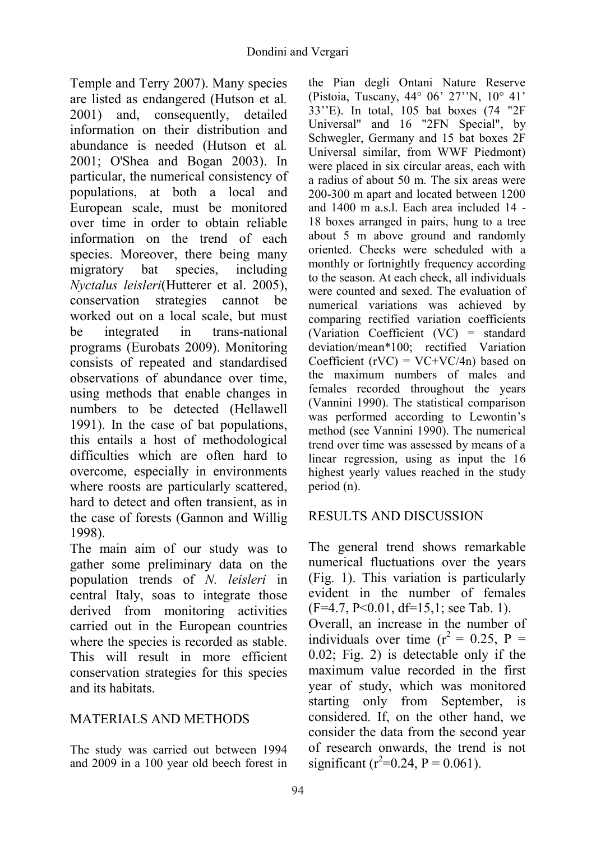Temple and Terry 2007). Many species are listed as endangered (Hutson et al*.* 2001) and, consequently, detailed information on their distribution and abundance is needed (Hutson et al*.* 2001; O'Shea and Bogan 2003). In particular, the numerical consistency of populations, at both a local and European scale, must be monitored over time in order to obtain reliable information on the trend of each species. Moreover, there being many migratory bat species, including *Nyctalus leisleri*(Hutterer et al. 2005), conservation strategies cannot be worked out on a local scale, but must be integrated in trans-national programs (Eurobats 2009). Monitoring consists of repeated and standardised observations of abundance over time, using methods that enable changes in numbers to be detected (Hellawell 1991). In the case of bat populations, this entails a host of methodological difficulties which are often hard to overcome, especially in environments where roosts are particularly scattered, hard to detect and often transient, as in the case of forests (Gannon and Willig 1998).

The main aim of our study was to gather some preliminary data on the population trends of *N. leisleri* in central Italy, soas to integrate those derived from monitoring activities carried out in the European countries where the species is recorded as stable. This will result in more efficient conservation strategies for this species and its habitats.

# MATERIALS AND METHODS

The study was carried out between 1994 and 2009 in a 100 year old beech forest in the Pian degli Ontani Nature Reserve (Pistoia, Tuscany, 44° 06' 27''N, 10° 41' 33''E). In total, 105 bat boxes (74 "2F Universal" and 16 "2FN Special", by Schwegler, Germany and 15 bat boxes 2F Universal similar, from WWF Piedmont) were placed in six circular areas, each with a radius of about 50 m. The six areas were 200-300 m apart and located between 1200 and 1400 m a.s.l. Each area included 14 - 18 boxes arranged in pairs, hung to a tree about 5 m above ground and randomly oriented. Checks were scheduled with a monthly or fortnightly frequency according to the season. At each check, all individuals were counted and sexed. The evaluation of numerical variations was achieved by comparing rectified variation coefficients (Variation Coefficient (VC) = standard deviation/mean\*100; rectified Variation Coefficient (rVC) =  $VC+VC/4n$ ) based on the maximum numbers of males and females recorded throughout the years (Vannini 1990). The statistical comparison was performed according to Lewontin's method (see Vannini 1990). The numerical trend over time was assessed by means of a linear regression, using as input the 16 highest yearly values reached in the study period (n).

# RESULTS AND DISCUSSION

The general trend shows remarkable numerical fluctuations over the years (Fig. 1). This variation is particularly evident in the number of females (F=4.7, P<0.01, df=15,1; see Tab. 1). Overall, an increase in the number of individuals over time  $(r^2 = 0.25, P =$ 0.02; Fig. 2) is detectable only if the maximum value recorded in the first year of study, which was monitored starting only from September, is considered. If, on the other hand, we consider the data from the second year of research onwards, the trend is not significant ( $r^2$ =0.24, P = 0.061).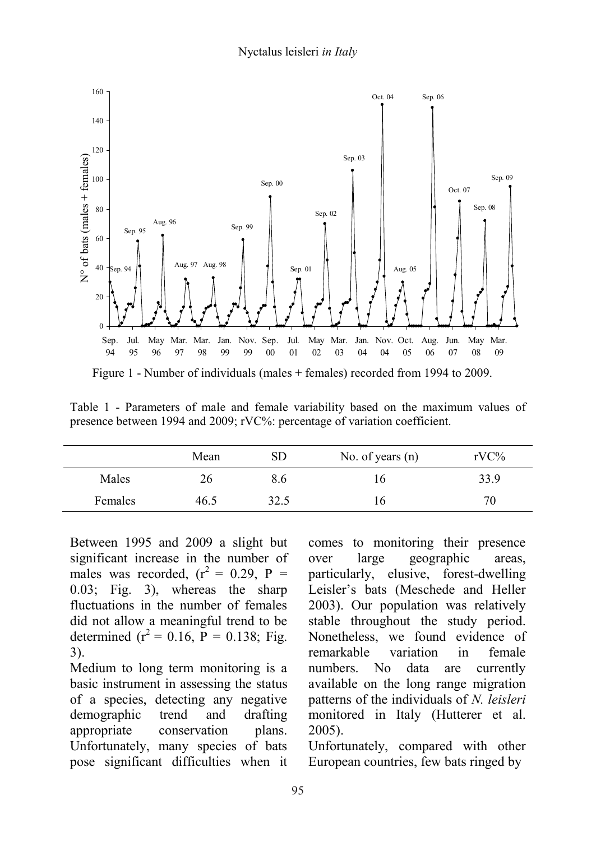

Table 1 - Parameters of male and female variability based on the maximum values of presence between 1994 and 2009; rVC%: percentage of variation coefficient.

|         | Mean | SD   | No. of years $(n)$ | $rVC\%$ |
|---------|------|------|--------------------|---------|
| Males   | 26   | 8.6  | 16                 | 33.9    |
| Females | 46.5 | 32.5 | 16                 | 70      |

Between 1995 and 2009 a slight but significant increase in the number of males was recorded,  $(r^2 = 0.29, P =$ 0.03; Fig. 3), whereas the sharp fluctuations in the number of females did not allow a meaningful trend to be determined  $(r^2 = 0.16, P = 0.138; Fig.$ 3).

Medium to long term monitoring is a basic instrument in assessing the status of a species, detecting any negative demographic trend and drafting appropriate conservation plans. Unfortunately, many species of bats pose significant difficulties when it comes to monitoring their presence over large geographic areas, particularly, elusive, forest-dwelling Leisler's bats (Meschede and Heller 2003). Our population was relatively stable throughout the study period. Nonetheless, we found evidence of remarkable variation in female numbers. No data are currently available on the long range migration patterns of the individuals of *N. leisleri* monitored in Italy (Hutterer et al. 2005).

Unfortunately, compared with other European countries, few bats ringed by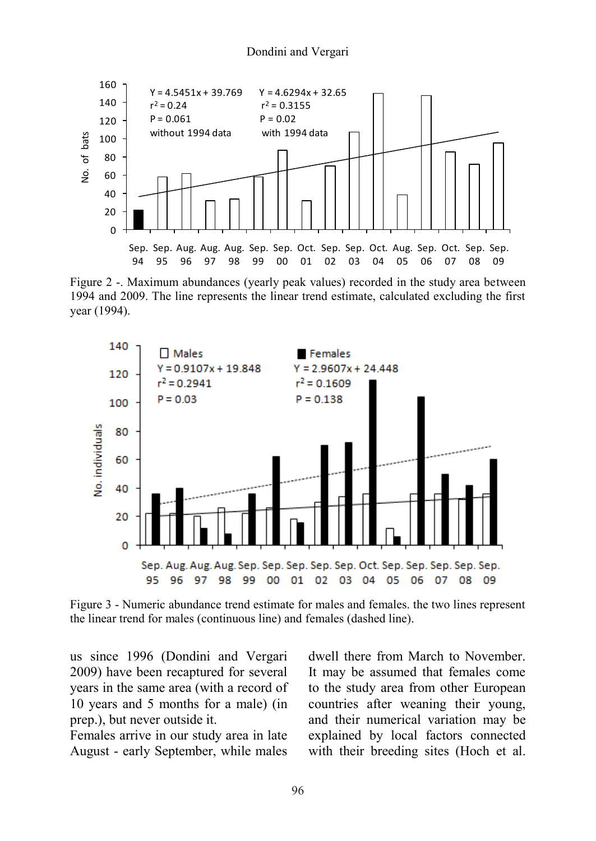#### Dondini and Vergari



Figure 2 -. Maximum abundances (yearly peak values) recorded in the study area between 1994 and 2009. The line represents the linear trend estimate, calculated excluding the first year (1994).



Figure 3 - Numeric abundance trend estimate for males and females. the two lines represent the linear trend for males (continuous line) and females (dashed line).

us since 1996 (Dondini and Vergari 2009) have been recaptured for several years in the same area (with a record of 10 years and 5 months for a male) (in prep.), but never outside it.

Females arrive in our study area in late August - early September, while males dwell there from March to November. It may be assumed that females come to the study area from other European countries after weaning their young, and their numerical variation may be explained by local factors connected with their breeding sites (Hoch et al.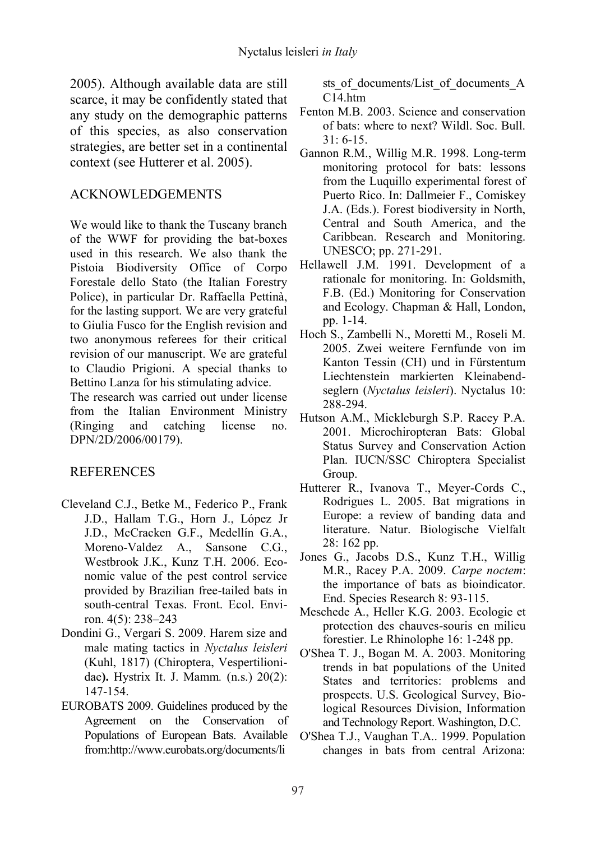2005). Although available data are still scarce, it may be confidently stated that any study on the demographic patterns of this species, as also conservation strategies, are better set in a continental context (see Hutterer et al. 2005).

#### ACKNOWLEDGEMENTS

We would like to thank the Tuscany branch of the WWF for providing the bat-boxes used in this research. We also thank the Pistoia Biodiversity Office of Corpo Forestale dello Stato (the Italian Forestry Police), in particular Dr. Raffaella Pettinà, for the lasting support. We are very grateful to Giulia Fusco for the English revision and two anonymous referees for their critical revision of our manuscript. We are grateful to Claudio Prigioni. A special thanks to Bettino Lanza for his stimulating advice.

The research was carried out under license from the Italian Environment Ministry (Ringing and catching license no. DPN/2D/2006/00179).

### REFERENCES

- Cleveland C.J., Betke M., Federico P., Frank J.D., Hallam T.G., Horn J., López Jr J.D., McCracken G.F., Medellín G.A., Moreno-Valdez A., Sansone C.G., Westbrook J.K., Kunz T.H. 2006. Economic value of the pest control service provided by Brazilian free-tailed bats in south-central Texas. Front. Ecol. Environ. 4(5): 238–243
- Dondini G., Vergari S. 2009. Harem size and male mating tactics in *Nyctalus leisleri*  (Kuhl, 1817) (Chiroptera, Vespertilionidae**).** Hystrix It. J. Mamm*.* (n.s.) 20(2): 147-154.
- EUROBATS 2009. Guidelines produced by the Agreement on the Conservation of Populations of European Bats. Available from:http://www.eurobats.org/documents/li

sts of documents/List of documents A C<sub>14</sub> htm

- Fenton M.B. 2003. Science and conservation of bats: where to next? Wildl. Soc. Bull. 31: 6-15.
- Gannon R.M., Willig M.R. 1998. Long-term monitoring protocol for bats: lessons from the Luquillo experimental forest of Puerto Rico. In: Dallmeier F., Comiskey J.A. (Eds.). Forest biodiversity in North, Central and South America, and the Caribbean. Research and Monitoring. UNESCO; pp. 271-291.
- Hellawell J.M. 1991. Development of a rationale for monitoring. In: Goldsmith, F.B. (Ed.) Monitoring for Conservation and Ecology. Chapman & Hall, London, pp. 1-14.
- Hoch S., Zambelli N., Moretti M., Roseli M. 2005. Zwei weitere Fernfunde von im Kanton Tessin (CH) und in Fürstentum Liechtenstein markierten Kleinabendseglern (*Nyctalus leisleri*). Nyctalus 10: 288-294.
- Hutson A.M., Mickleburgh S.P. Racey P.A. 2001. Microchiropteran Bats: Global Status Survey and Conservation Action Plan. IUCN/SSC Chiroptera Specialist Group.
- Hutterer R., Ivanova T., Meyer-Cords C., Rodrigues L. 2005. Bat migrations in Europe: a review of banding data and literature. Natur. Biologische Vielfalt 28: 162 pp.
- Jones G., Jacobs D.S., Kunz T.H., Willig M.R., Racey P.A. 2009. *Carpe noctem*: the importance of bats as bioindicator. End. Species Research 8: 93-115.
- Meschede A., Heller K.G. 2003. Ecologie et protection des chauves-souris en milieu forestier. Le Rhinolophe 16: 1-248 pp.
- O'Shea T. J., Bogan M. A. 2003. Monitoring trends in bat populations of the United States and territories: problems and prospects. U.S. Geological Survey, Biological Resources Division, Information and Technology Report. Washington, D.C.
- O'Shea T.J., Vaughan T.A.. 1999. Population changes in bats from central Arizona: